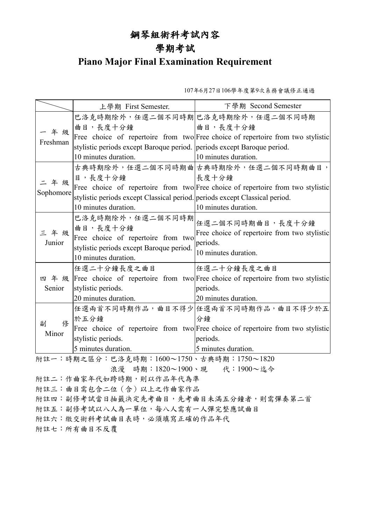## 鋼琴組術科考試內容

## 學期考試

## **Piano Major Final Examination Requirement**

107年6月27日106學年度第9次系務會議修正通過

|                                          | 上學期 First Semester.                                                         | 下學期 Second Semester                                                                   |  |
|------------------------------------------|-----------------------------------------------------------------------------|---------------------------------------------------------------------------------------|--|
| 一年级<br>Freshman                          |                                                                             | 巴洛克時期除外,任選二個不同時期 巴洛克時期除外,任選二個不同時期                                                     |  |
|                                          | 曲目,長度十分鐘                                                                    | 曲目,長度十分鐘                                                                              |  |
|                                          |                                                                             | Free choice of repertoire from two Free choice of repertoire from two stylistic       |  |
|                                          | stylistic periods except Baroque period. periods except Baroque period.     |                                                                                       |  |
|                                          | 10 minutes duration.                                                        | 10 minutes duration.                                                                  |  |
| 年級<br>Sophomore                          |                                                                             | 古典時期除外,任選二個不同時期曲 古典時期除外,任選二個不同時期曲目,                                                   |  |
|                                          | 目,長度十分鐘                                                                     | 長度十分鐘                                                                                 |  |
|                                          |                                                                             | Free choice of repertoire from two Free choice of repertoire from two stylistic       |  |
|                                          | stylistic periods except Classical period. periods except Classical period. |                                                                                       |  |
|                                          | 10 minutes duration.                                                        | 10 minutes duration.                                                                  |  |
| 三年级<br>Junior                            | 巴洛克時期除外,任選二個不同時期<br>曲目,長度十分鐘                                                | 任選二個不同時期曲目,長度十分鐘                                                                      |  |
|                                          | Free choice of repertoire from two                                          | Free choice of repertoire from two stylistic                                          |  |
|                                          | stylistic periods except Baroque period.                                    | periods.                                                                              |  |
|                                          | 10 minutes duration.                                                        | 10 minutes duration.                                                                  |  |
| Senior                                   | 任選二十分鐘長度之曲目                                                                 | 任選二十分鐘長度之曲目                                                                           |  |
|                                          |                                                                             | 四 年 级 Free choice of repertoire from two Free choice of repertoire from two stylistic |  |
|                                          | stylistic periods.                                                          | periods.                                                                              |  |
|                                          | 20 minutes duration.                                                        | 20 minutes duration.                                                                  |  |
| 俢<br>副<br>Minor                          |                                                                             | 任選兩首不同時期作品,曲目不得少 任選兩首不同時期作品,曲目不得少於五                                                   |  |
|                                          | 於五分鐘                                                                        | 分鐘                                                                                    |  |
|                                          |                                                                             | Free choice of repertoire from two Free choice of repertoire from two stylistic       |  |
|                                          | stylistic periods.                                                          | periods.                                                                              |  |
|                                          | 5 minutes duration.                                                         | 5 minutes duration.                                                                   |  |
| 附註一:時期之區分:巴洛克時期:1600~1750、古典時期:1750~1820 |                                                                             |                                                                                       |  |
| 浪漫 時期: 1820~1900、現 代: 1900~迄今            |                                                                             |                                                                                       |  |
| 附註二:作曲家年代如跨時期,則以作品年代為準                   |                                                                             |                                                                                       |  |
| 附註三:曲目需包含二位 (含) 以上之作曲家作品                 |                                                                             |                                                                                       |  |
| 附註四:副修考試當日抽籤決定先考曲目,先考曲目未滿五分鐘者,則需彈奏第二首    |                                                                             |                                                                                       |  |
| 附註五:副修考試以八人為一單位,每八人需有一人彈完整應試曲目           |                                                                             |                                                                                       |  |
| 附註六:繳交術科考試曲目表時,必須填寫正確的作品年代               |                                                                             |                                                                                       |  |
| 附註七:所有曲目不反覆                              |                                                                             |                                                                                       |  |